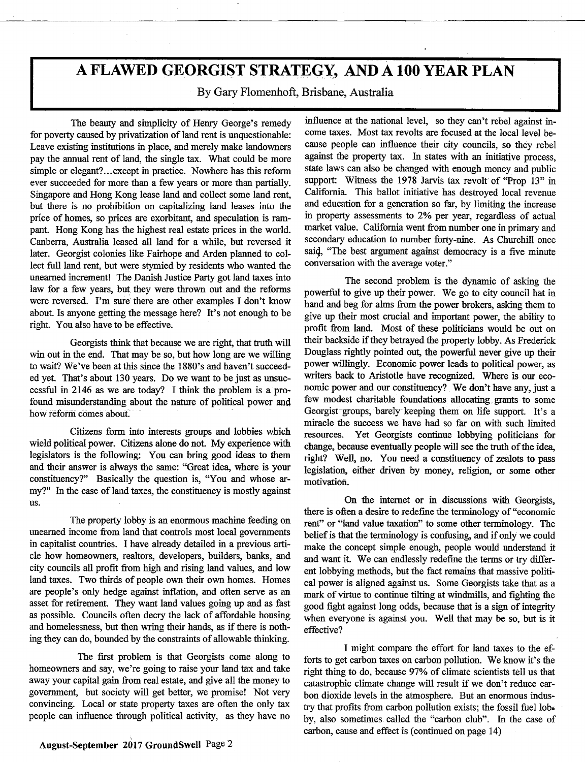# **A FLAWED GEORGIST STRATEGY, AND A 100 YEAR PLAN**

By Gary Flomenhoft, Brisbane, Australia

The beauty and simplicity of Henry George's remedy for poverty caused by privatization of land rent is unquestionable: Leave existing institutions in place, and merely make landowners pay the annual rent of land, the single tax. What could be more simple or elegant?... except in practice. Nowhere has this reform ever succeeded for more than a few years or more than partially. Singapore and Hong Kong lease land and collect some land rent, but there is no prohibition on capitalizing land leases into the price of homes, so prices are exorbitant, and speculation is rampant. Hong Kong has the highest real estate prices in the world. Canberra, Australia leased all land for a while, but reversed it later. Georgist colonies like Fairhope and Arden planned to collect full land rent, but were stymied by residents who wanted the unearned increment! The Danish Justice Party got land taxes into law for a few years, but, they were thrown out and the reforms were reversed. I'm sure there are other examples I don't know about. Is anyone getting the message here? It's not enough to be right. You also have to be effective.

Georgists think that because we are right, that truth will win out in the end. That may be so, but how long are we willing to wait? We've been at this since the 1880's and haven't succeeded yet. That's about 130 years. Do we want to be just as unsuccessful in 2146 as we are today? I think the problem is a profound misunderstanding about the nature of political power and how reform comes about

Citizens form into interests groups and lobbies which wield political power. Citizens alone do not. My experience with legislators is the following: You can bring good ideas to them and their answer is always the same: "Great idea, where is your constituency?" Basically the question is, "You and whose army?" In the case of land taxes, the constituency is mostly against us.

The property lobby is an enormous machine feeding on unearned income from land that controls most local governments in capitalist countries. I have already detailed in a previous article how homeowners, realtors, developers, builders, banks, and city councils all profit from high and rising land values, and low land taxes. Two thirds of people own their own homes. Homes are people's only hedge against inflation, and often serve as an asset for retirement. They want land values going up and as fast as possible. Councils often decry the lack of affordable housing and homelessness, but then wring their hands, as if there is nothing they can do, bounded by the constraints of allowable thinking.

The first problem is that Georgists come along to homeowners and say, we're going to raise your land tax and take away your capital gain from real estate, and give all the money to government, but society will get better, we promise! Not very convincing. Local or state property taxes are often the only tax people can influence through political activity, as they have no influence at the national level, so they can't rebel against income taxes. Most tax revolts are focused at the local level because people can influence their city councils, so they rebel against the property tax. In states with an initiative process, state laws can also be changed with enough money and public support: Witness the 1978 Jarvis tax revolt of "Prop 13" in California. This ballot initiative has destroyed local revenue and education for a generation so far, by limiting the increase in property assessments to 2% per year, regardless of actual market value. California went from number one in primary and secondary education to number forty-nine. As Churchill once sai4, "The best argument against democracy is a five minute conversation with the average voter."

The second problem is the dynamic of asking the powerful to give up their power. We go to city council hat in hand and beg for alms from the power brokers, asking them to give up their most crucial and important power, the ability to profit from land. Most of these politicians would be out on their backside if they betrayed the property lobby. As Frederick Douglass rightly pointed out, the powerful never give up their power willingly. Economic power leads to political power, as writers back to Aristotle have recognized. Where is our economic power and our constituency? We don't have any, just a few modest charitable foundations allocating grants to some Georgist groups, barely keeping them on life support. It's a miracle the success we have had so far on with such limited resources. Yet Georgists continue lobbying politicians for change, because eventually people will see the truth of the idea, right? Well, no. You need a constituency of zealots to pass legislation, either driven by money, religion, or some other motivation.

On the internet or in discussions with Georgists, there is often a desire to redefine the terminology of "economic rent" or "land value taxation" to some other terminology. The belief is that the terminology is confusing, and if only we could make the concept simple enough, people would understand it and want it. We can endlessly redefine the terms or try different lobbying methods, but the fact remains that massive political power is aligned against us. Some Georgists take that as a mark of virtue to continue tilting at windmills, and fighting the good fight against long odds, because that is a sign of integrity when everyone is against you. Well that may be so, but is it effective?

I might compare the effort for land taxes to the efforts to get carbon taxes on carbon pollution. We know it's the right thing to do, because 97% of climate scientists tell us that catastrophic climate change will result if we don't reduce carbon dioxide levels in the atmosphere. But an enormous industry that profits from carbon pollution exists; the fossil fuel lobby, also sometimes called the "carbon club". In the case of carbon, cause and effect is (continued on page 14)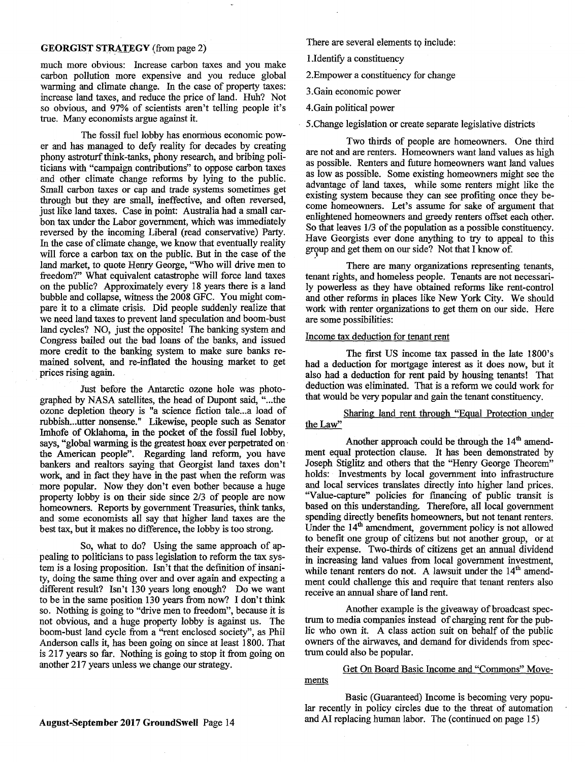### **GEORGIST STRATEGY** (from page 2)

much more obvious: Increase carbon taxes and you make carbon pollution more expensive and you reduce global warming and climate change. In the case of property taxes: increase land taxes, and reduce the price of land. Huh? Not so obvious, and 97% of scientists aren't telling people it's true. Many economists argue against it.

The fossil fuel lobby has enormous economic power and has managed to defy reality for decades by creating phony astroturf think-tanks, phony research, and bribing politicians with "campaign contributions" to oppose carbon taxes and other climate change reforms by lying to the public. Small carbon taxes or cap and trade systems sometimes get through but they are small, ineffective, and often reversed, just like land taxes. Case in point: Australia had a small carbon tax under the Labor government, which was immediately reversed by the incoming Liberal (read conservative) Party. In the case of climate change, we know that eventually reality will force a carbon tax on the public. But in the case of the land market, to quote Henry George, "Who will drive men to freedom?" What equivalent catastrophe will force land taxes on the public? Approximately every 18 years there is a land bubble and collapse, witness the 2008 GFC. You might compare it to a climate crisis. Did people suddenly realize that we need land taxes to prevent land speculation and boom-bust land cycles? NO, just the opposite! The banking system and Congress bailed out the bad loans of the banks, and issued more credit to the banking system to make sure banks remained solvent, and re-inflated the housing market to get prices rising again

Just before the Antarctic ozone hole was photographed by NASA satellites, the head of Dupont said, "...the ozone depletion theory is "a science fiction tale...a load of rubbish ... utter nonsense." Likewise, people such as Senator Imhofe of Oklahoma, in the pocket of the fossil fuel lobby, says, "global warming is the greatest hoax ever perpetrated on the American people". Regarding land reform, you have bankers and realtors saying that Georgist land taxes don't work, and in fact they have in the past when the reform was more popular. Now they don't even bother because a huge property lobby is on their side since 2/3 of people are now homeowners. Reports by government Treasuries, think tanks, and some economists all say that higher land taxes are the best tax, but it makes no difference, the lobby is too strong.

So, what to do? Using the same approach of appealing to politicians to pass legislation to reform the tax system is a losing proposition. Isn't that the definition of insanity, doing the same thing over and over again and expecting a different result? Isn't 130 years long enough? Do we want to be in the same position 130 years from now? I don't think so. Nothing is going to "drive men to freedom", because it is not obvious, and a huge property lobby is against us. The boom-bust land cycle from a "rent enclosed society", as Phil Anderson calls it, has been going on since at least 1800. That is 217 years so far. Nothing is going to stop it from going on another 217 years unless we change our strategy.

There are several elements to include:

I .Identify a constituency

2.Empower a constituency for change

3.Gain economic power

4.Gain political power

5.Change legislation or create separate legislative districts

Two thirds of people are homeowners. One third are not and are renters. Homeowners want land values as high as possible. Renters and future homeowners want land values as low as possible. Some existing homeowners might see the advantage of land taxes, while some renters might like the existing system because they can see profiting once they become homeowners. Let's assume for sake of argument that enlightened homeowners and greedy renters offset each other. So that leaves 1/3 of the population as a possible constituency. Have Georgists ever done anything to try to appeal to this group and get them on our side? Not that I know of.

There are many organizations representing tenants, tenant rights, and homeless people. Tenants are not necessarily powerless as they have obtained reforms like rent-control and other reforms in places like New York City. We should work with renter organizations to get them on our side. Here are some possibilities:

# Income tax deduction for tenant rent

The first US income tax passed in the late 1800's had a deduction for mortgage interest as it does now, but it also had a deduction for rent paid by housing tenants! That deduction was eliminated. That is a reform we could work for that would be very popular and gain the tenant constituency.

Sharing land rent through "Equal Protection under the Law"

Another approach could be through the  $14<sup>th</sup>$  amendment equal protection clause. It has been demonstrated by Joseph Stiglitz and others that the "Henry George Theorem" holds: Investments by local government into infrastructure and local services translates directly into higher land prices. "Value-capture" policies for financing of public transit is based on this understanding. Therefore, all local government spending directly benefits homeowners, but not tenant renters. Under the  $14<sup>th</sup>$  amendment, government policy is not allowed to benefit one group of citizens but not another group, or at their expense. Two-thirds of citizens get an annual dividend in increasing land values from local government investment, while tenant renters do not. A lawsuit under the  $14<sup>th</sup>$  amendment could challenge this and require that tenant renters also receive an annual share of land rent.

Another example is the giveaway of broadcast spectrum to media companies instead of charging rent for the public who own it. A class action suit on behalf of the public owners of the airwaves, and demand for dividends from spectrum could also be popular.

# Get On Board Basic Income and "Commons" Movements

Basic (Guaranteed) Income is becoming very popular recently in policy circles due to the threat of automation and AI replacing human labor. The (continued on page 15)